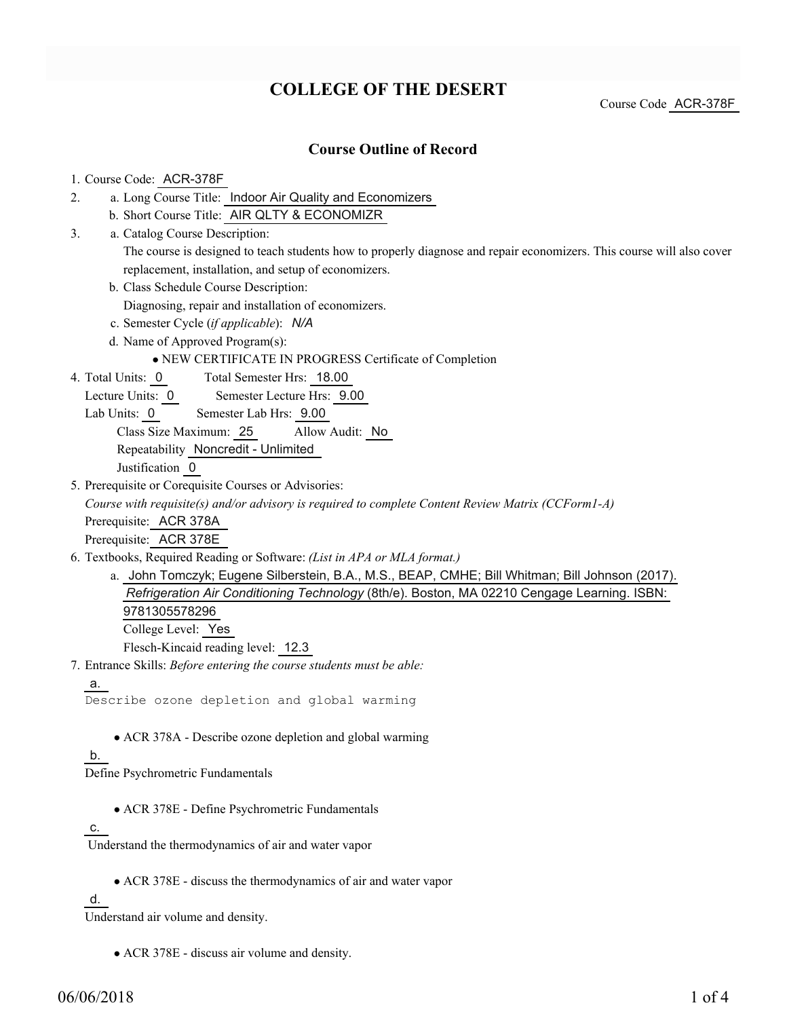# **COLLEGE OF THE DESERT**

Course Code ACR-378F

### **Course Outline of Record**

### 1. Course Code: ACR-378F

- a. Long Course Title: Indoor Air Quality and Economizers 2.
	- b. Short Course Title: AIR QLTY & ECONOMIZR
- Catalog Course Description: a. 3.

The course is designed to teach students how to properly diagnose and repair economizers. This course will also cover replacement, installation, and setup of economizers.

b. Class Schedule Course Description:

Diagnosing, repair and installation of economizers.

- c. Semester Cycle (*if applicable*): *N/A*
- d. Name of Approved Program(s):

NEW CERTIFICATE IN PROGRESS Certificate of Completion

Total Semester Hrs: 18.00 4. Total Units: 0

Lecture Units: 0 Semester Lecture Hrs: 9.00

Lab Units: 0 Semester Lab Hrs: 9.00

Class Size Maximum: 25 Allow Audit: No

Repeatability Noncredit - Unlimited

Justification 0

5. Prerequisite or Corequisite Courses or Advisories:

*Course with requisite(s) and/or advisory is required to complete Content Review Matrix (CCForm1-A)*

Prerequisite: ACR 378A

Prerequisite: ACR 378E

- Textbooks, Required Reading or Software: *(List in APA or MLA format.)* 6.
	- a. John Tomczyk; Eugene Silberstein, B.A., M.S., BEAP, CMHE; Bill Whitman; Bill Johnson (2017). *Refrigeration Air Conditioning Technology* (8th/e). Boston, MA 02210 Cengage Learning. ISBN: 9781305578296 College Level: Yes

Flesch-Kincaid reading level: 12.3

Entrance Skills: *Before entering the course students must be able:* 7.

```
a.
```
Describe ozone depletion and global warming

ACR 378A - Describe ozone depletion and global warming

### b.

Define Psychrometric Fundamentals

ACR 378E - Define Psychrometric Fundamentals

#### c.

Understand the thermodynamics of air and water vapor

ACR 378E - discuss the thermodynamics of air and water vapor

### d.

Understand air volume and density.

ACR 378E - discuss air volume and density.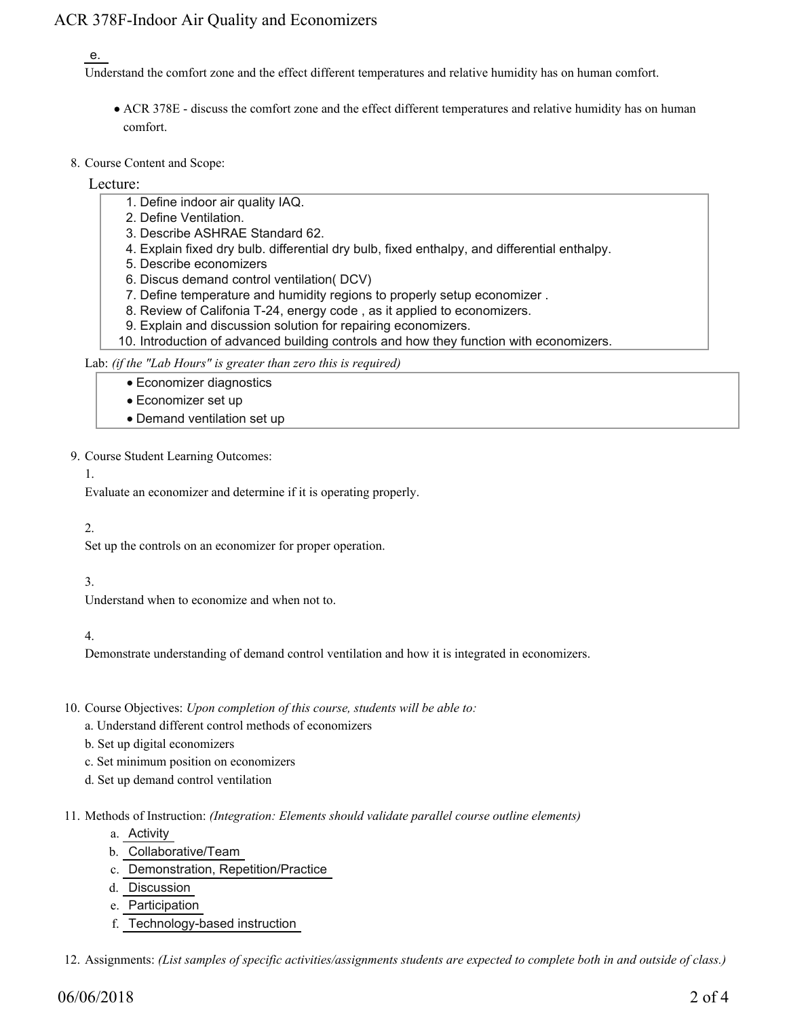# ACR 378F-Indoor Air Quality and Economizers

### e.

Understand the comfort zone and the effect different temperatures and relative humidity has on human comfort.

- ACR 378E discuss the comfort zone and the effect different temperatures and relative humidity has on human comfort.
- 8. Course Content and Scope:

Lecture:

- 1. Define indoor air quality IAQ.
- 2. Define Ventilation.
- 3. Describe ASHRAE Standard 62.
- 4. Explain fixed dry bulb. differential dry bulb, fixed enthalpy, and differential enthalpy.
- 5. Describe economizers
- 6. Discus demand control ventilation( DCV)
- 7. Define temperature and humidity regions to properly setup economizer .
- 8. Review of Califonia T-24, energy code , as it applied to economizers.
- 9. Explain and discussion solution for repairing economizers.
- 10. Introduction of advanced building controls and how they function with economizers.

Lab: *(if the "Lab Hours" is greater than zero this is required)*

- Economizer diagnostics
- Economizer set up
- Demand ventilation set up
- 9. Course Student Learning Outcomes:
	- 1.

Evaluate an economizer and determine if it is operating properly.

#### 2.

Set up the controls on an economizer for proper operation.

### 3.

Understand when to economize and when not to.

### 4.

Demonstrate understanding of demand control ventilation and how it is integrated in economizers.

- 10. Course Objectives: Upon completion of this course, students will be able to:
	- a. Understand different control methods of economizers
	- b. Set up digital economizers
	- c. Set minimum position on economizers
	- d. Set up demand control ventilation
- Methods of Instruction: *(Integration: Elements should validate parallel course outline elements)* 11.
	- a. Activity
	- b. Collaborative/Team
	- c. Demonstration, Repetition/Practice
	- d. Discussion
	- e. Participation
	- f. Technology-based instruction

12. Assignments: *(List samples of specific activities/assignments students are expected to complete both in and outside of class.)*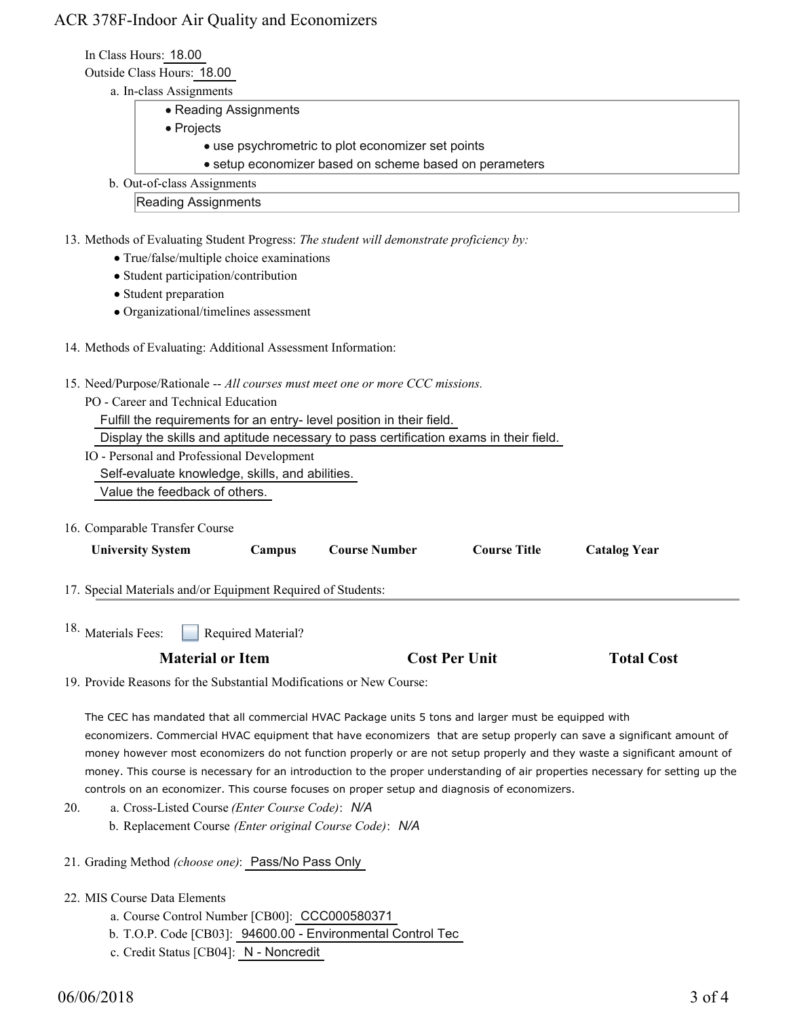# ACR 378F-Indoor Air Quality and Economizers

In Class Hours: 18.00

Outside Class Hours: 18.00

- a. In-class Assignments
	- Reading Assignments
	- Projects
		- use psychrometric to plot economizer set points
		- setup economizer based on scheme based on perameters
- b. Out-of-class Assignments

Reading Assignments

- 13. Methods of Evaluating Student Progress: The student will demonstrate proficiency by:
	- True/false/multiple choice examinations
	- Student participation/contribution
	- Student preparation
	- Organizational/timelines assessment
- 14. Methods of Evaluating: Additional Assessment Information:
- 15. Need/Purpose/Rationale -- All courses must meet one or more CCC missions.
	- PO Career and Technical Education
		- Fulfill the requirements for an entry- level position in their field.

Display the skills and aptitude necessary to pass certification exams in their field.

IO - Personal and Professional Development

Self-evaluate knowledge, skills, and abilities.

- Value the feedback of others.
- 16. Comparable Transfer Course

| <b>University System</b>                                     | <b>Campus</b>      | <b>Course Number</b> | <b>Course Title</b> | <b>Catalog Year</b> |  |  |
|--------------------------------------------------------------|--------------------|----------------------|---------------------|---------------------|--|--|
| 17. Special Materials and/or Equipment Required of Students: |                    |                      |                     |                     |  |  |
| 18. Materials Fees:                                          | Required Material? |                      |                     |                     |  |  |

|  | <b>Material or Item</b> | <b>Cost Per Unit</b> | <b>Total Cost</b> |
|--|-------------------------|----------------------|-------------------|
|--|-------------------------|----------------------|-------------------|

19. Provide Reasons for the Substantial Modifications or New Course:

The CEC has mandated that all commercial HVAC Package units 5 tons and larger must be equipped with economizers. Commercial HVAC equipment that have economizers that are setup properly can save a significant amount of money however most economizers do not function properly or are not setup properly and they waste a significant amount of money. This course is necessary for an introduction to the proper understanding of air properties necessary for setting up the controls on an economizer. This course focuses on proper setup and diagnosis of economizers.

- a. Cross-Listed Course *(Enter Course Code)*: *N/A* b. Replacement Course *(Enter original Course Code)*: *N/A* 20.
- 21. Grading Method *(choose one)*: Pass/No Pass Only
- 22. MIS Course Data Elements
	- a. Course Control Number [CB00]: CCC000580371
	- b. T.O.P. Code [CB03]: 94600.00 Environmental Control Tec
	- c. Credit Status [CB04]: N Noncredit